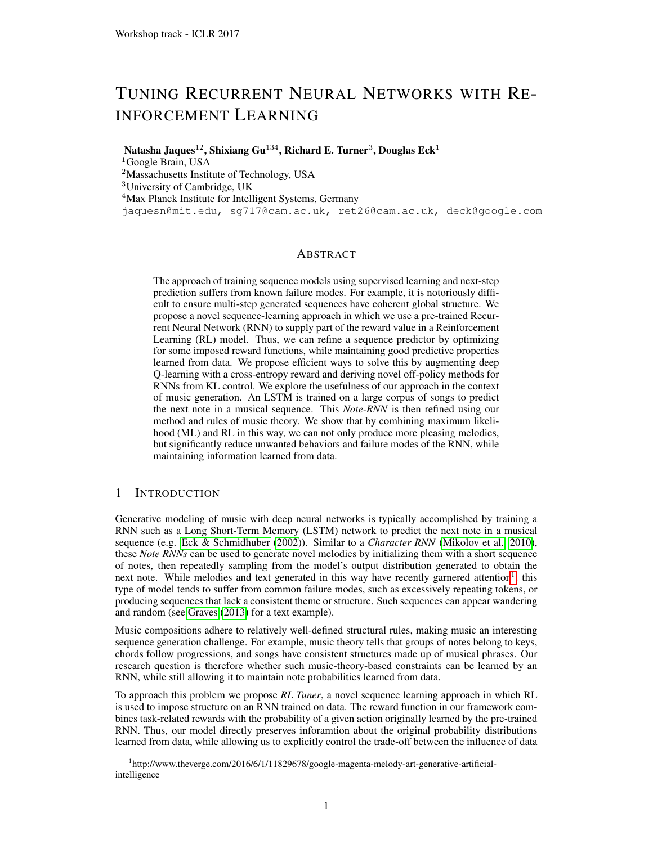# <span id="page-0-1"></span>TUNING RECURRENT NEURAL NETWORKS WITH RE-INFORCEMENT LEARNING

Natasha Jaques $^{12}$ , Shixiang Gu $^{134}$ , Richard E. Turner $^3$ , Douglas Eck $^1$ 

<sup>1</sup>Google Brain, USA

<sup>2</sup>Massachusetts Institute of Technology, USA

<sup>3</sup>University of Cambridge, UK

<sup>4</sup>Max Planck Institute for Intelligent Systems, Germany

jaquesn@mit.edu, sg717@cam.ac.uk, ret26@cam.ac.uk, deck@google.com

## **ABSTRACT**

The approach of training sequence models using supervised learning and next-step prediction suffers from known failure modes. For example, it is notoriously difficult to ensure multi-step generated sequences have coherent global structure. We propose a novel sequence-learning approach in which we use a pre-trained Recurrent Neural Network (RNN) to supply part of the reward value in a Reinforcement Learning (RL) model. Thus, we can refine a sequence predictor by optimizing for some imposed reward functions, while maintaining good predictive properties learned from data. We propose efficient ways to solve this by augmenting deep Q-learning with a cross-entropy reward and deriving novel off-policy methods for RNNs from KL control. We explore the usefulness of our approach in the context of music generation. An LSTM is trained on a large corpus of songs to predict the next note in a musical sequence. This *Note-RNN* is then refined using our method and rules of music theory. We show that by combining maximum likelihood (ML) and RL in this way, we can not only produce more pleasing melodies, but significantly reduce unwanted behaviors and failure modes of the RNN, while maintaining information learned from data.

# 1 INTRODUCTION

Generative modeling of music with deep neural networks is typically accomplished by training a RNN such as a Long Short-Term Memory (LSTM) network to predict the next note in a musical sequence (e.g. [Eck & Schmidhuber](#page-9-0) [\(2002\)](#page-9-0)). Similar to a *Character RNN* [\(Mikolov et al., 2010\)](#page-9-1), these *Note RNNs* can be used to generate novel melodies by initializing them with a short sequence of notes, then repeatedly sampling from the model's output distribution generated to obtain the next note. While melodies and text generated in this way have recently garnered attention<sup>[1](#page-0-0)</sup>, this type of model tends to suffer from common failure modes, such as excessively repeating tokens, or producing sequences that lack a consistent theme or structure. Such sequences can appear wandering and random (see [Graves](#page-9-2) [\(2013\)](#page-9-2) for a text example).

Music compositions adhere to relatively well-defined structural rules, making music an interesting sequence generation challenge. For example, music theory tells that groups of notes belong to keys, chords follow progressions, and songs have consistent structures made up of musical phrases. Our research question is therefore whether such music-theory-based constraints can be learned by an RNN, while still allowing it to maintain note probabilities learned from data.

To approach this problem we propose *RL Tuner*, a novel sequence learning approach in which RL is used to impose structure on an RNN trained on data. The reward function in our framework combines task-related rewards with the probability of a given action originally learned by the pre-trained RNN. Thus, our model directly preserves inforamtion about the original probability distributions learned from data, while allowing us to explicitly control the trade-off between the influence of data

<span id="page-0-0"></span><sup>&</sup>lt;sup>1</sup>http://www.theverge.com/2016/6/1/11829678/google-magenta-melody-art-generative-artificialintelligence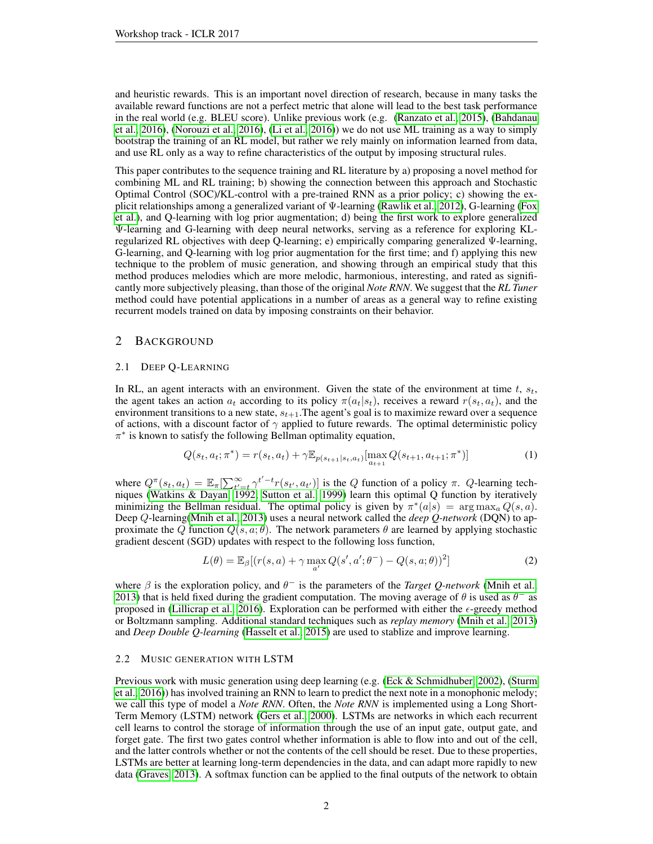and heuristic rewards. This is an important novel direction of research, because in many tasks the available reward functions are not a perfect metric that alone will lead to the best task performance in the real world (e.g. BLEU score). Unlike previous work (e.g. [\(Ranzato et al., 2015\)](#page-10-0), [\(Bahdanau](#page-9-3) [et al., 2016\)](#page-9-3), [\(Norouzi et al., 2016\)](#page-10-1), [\(Li et al., 2016\)](#page-9-4)) we do not use ML training as a way to simply bootstrap the training of an RL model, but rather we rely mainly on information learned from data, and use RL only as a way to refine characteristics of the output by imposing structural rules.

This paper contributes to the sequence training and RL literature by a) proposing a novel method for combining ML and RL training; b) showing the connection between this approach and Stochastic Optimal Control (SOC)/KL-control with a pre-trained RNN as a prior policy; c) showing the explicit relationships among a generalized variant of Ψ-learning [\(Rawlik et al., 2012\)](#page-10-2), G-learning [\(Fox](#page-9-5) [et al.\)](#page-9-5), and Q-learning with log prior augmentation; d) being the first work to explore generalized Ψ-learning and G-learning with deep neural networks, serving as a reference for exploring KLregularized RL objectives with deep Q-learning; e) empirically comparing generalized Ψ-learning, G-learning, and Q-learning with log prior augmentation for the first time; and f) applying this new technique to the problem of music generation, and showing through an empirical study that this method produces melodies which are more melodic, harmonious, interesting, and rated as significantly more subjectively pleasing, than those of the original *Note RNN*. We suggest that the *RL Tuner* method could have potential applications in a number of areas as a general way to refine existing recurrent models trained on data by imposing constraints on their behavior.

## 2 BACKGROUND

#### <span id="page-1-0"></span>2.1 DEEP Q-LEARNING

In RL, an agent interacts with an environment. Given the state of the environment at time  $t$ ,  $s_t$ , the agent takes an action  $a_t$  according to its policy  $\pi(a_t|s_t)$ , receives a reward  $r(s_t, a_t)$ , and the environment transitions to a new state,  $s_{t+1}$ . The agent's goal is to maximize reward over a sequence of actions, with a discount factor of  $\gamma$  applied to future rewards. The optimal deterministic policy  $\pi^*$  is known to satisfy the following Bellman optimality equation,

$$
Q(s_t, a_t; \pi^*) = r(s_t, a_t) + \gamma \mathbb{E}_{p(s_{t+1}|s_t, a_t)}[\max_{a_{t+1}} Q(s_{t+1}, a_{t+1}; \pi^*)]
$$
(1)

where  $Q^{\pi}(s_t, a_t) = \mathbb{E}_{\pi}[\sum_{t'=t}^{\infty} \gamma^{t'-t} r(s_{t'}, a_{t'})]$  is the Q function of a policy  $\pi$ . Q-learning techniques [\(Watkins & Dayan, 1992;](#page-10-3) [Sutton et al., 1999\)](#page-10-4) learn this optimal Q function by iteratively minimizing the Bellman residual. The optimal policy is given by  $\pi^*(a|s) = \arg \max_a Q(s, a)$ . Deep Q-learning[\(Mnih et al., 2013\)](#page-9-6) uses a neural network called the *deep Q-network* (DQN) to approximate the Q function  $Q(s, a; \theta)$ . The network parameters  $\theta$  are learned by applying stochastic gradient descent (SGD) updates with respect to the following loss function,

<span id="page-1-1"></span>
$$
L(\theta) = \mathbb{E}_{\beta}[(r(s, a) + \gamma \max_{a'} Q(s', a'; \theta^{-}) - Q(s, a; \theta))^{2}]
$$
\n(2)

where  $\beta$  is the exploration policy, and  $\theta^-$  is the parameters of the *Target Q-network* [\(Mnih et al.,](#page-9-6) [2013\)](#page-9-6) that is held fixed during the gradient computation. The moving average of  $\theta$  is used as  $\theta^-$  as proposed in [\(Lillicrap et al., 2016\)](#page-9-7). Exploration can be performed with either the  $\epsilon$ -greedy method or Boltzmann sampling. Additional standard techniques such as *replay memory* [\(Mnih et al., 2013\)](#page-9-6) and *Deep Double Q-learning* [\(Hasselt et al., 2015\)](#page-9-8) are used to stablize and improve learning.

#### 2.2 MUSIC GENERATION WITH LSTM

Previous work with music generation using deep learning (e.g. [\(Eck & Schmidhuber, 2002\)](#page-9-0), [\(Sturm](#page-10-5) [et al., 2016\)](#page-10-5)) has involved training an RNN to learn to predict the next note in a monophonic melody; we call this type of model a *Note RNN*. Often, the *Note RNN* is implemented using a Long Short-Term Memory (LSTM) network [\(Gers et al., 2000\)](#page-9-9). LSTMs are networks in which each recurrent cell learns to control the storage of information through the use of an input gate, output gate, and forget gate. The first two gates control whether information is able to flow into and out of the cell, and the latter controls whether or not the contents of the cell should be reset. Due to these properties, LSTMs are better at learning long-term dependencies in the data, and can adapt more rapidly to new data [\(Graves, 2013\)](#page-9-2). A softmax function can be applied to the final outputs of the network to obtain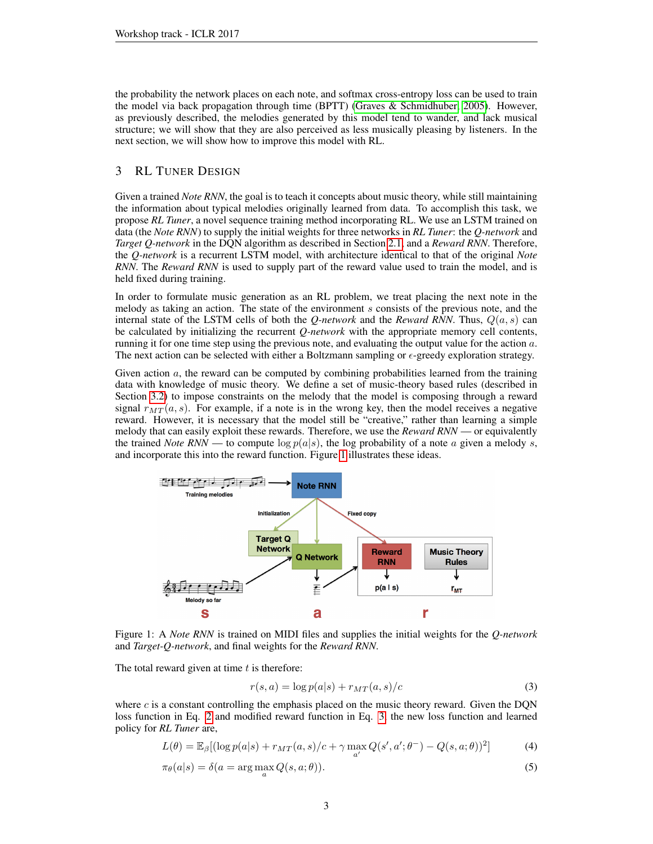the probability the network places on each note, and softmax cross-entropy loss can be used to train the model via back propagation through time (BPTT) [\(Graves & Schmidhuber, 2005\)](#page-9-10). However, as previously described, the melodies generated by this model tend to wander, and lack musical structure; we will show that they are also perceived as less musically pleasing by listeners. In the next section, we will show how to improve this model with RL.

## <span id="page-2-2"></span>3 RL TUNER DESIGN

Given a trained *Note RNN*, the goal is to teach it concepts about music theory, while still maintaining the information about typical melodies originally learned from data. To accomplish this task, we propose *RL Tuner*, a novel sequence training method incorporating RL. We use an LSTM trained on data (the *Note RNN*) to supply the initial weights for three networks in *RL Tuner*: the *Q-network* and *Target Q-network* in the DQN algorithm as described in Section [2.1,](#page-1-0) and a *Reward RNN*. Therefore, the *Q-network* is a recurrent LSTM model, with architecture identical to that of the original *Note RNN*. The *Reward RNN* is used to supply part of the reward value used to train the model, and is held fixed during training.

In order to formulate music generation as an RL problem, we treat placing the next note in the melody as taking an action. The state of the environment s consists of the previous note, and the internal state of the LSTM cells of both the *Q-network* and the *Reward RNN*. Thus,  $Q(a, s)$  can be calculated by initializing the recurrent *Q-network* with the appropriate memory cell contents, running it for one time step using the previous note, and evaluating the output value for the action a. The next action can be selected with either a Boltzmann sampling or  $\epsilon$ -greedy exploration strategy.

Given action  $a$ , the reward can be computed by combining probabilities learned from the training data with knowledge of music theory. We define a set of music-theory based rules (described in Section [3.2\)](#page-4-0) to impose constraints on the melody that the model is composing through a reward signal  $r_{MT}(a, s)$ . For example, if a note is in the wrong key, then the model receives a negative reward. However, it is necessary that the model still be "creative," rather than learning a simple melody that can easily exploit these rewards. Therefore, we use the *Reward RNN* — or equivalently the trained *Note RNN* — to compute  $\log p(a|s)$ , the log probability of a note a given a melody s, and incorporate this into the reward function. Figure [1](#page-2-0) illustrates these ideas.

<span id="page-2-0"></span>

Figure 1: A *Note RNN* is trained on MIDI files and supplies the initial weights for the *Q-network* and *Target-Q-network*, and final weights for the *Reward RNN*.

The total reward given at time  $t$  is therefore:

<span id="page-2-1"></span>
$$
r(s,a) = \log p(a|s) + r_{MT}(a,s)/c \tag{3}
$$

where c is a constant controlling the emphasis placed on the music theory reward. Given the DON loss function in Eq. [2](#page-1-1) and modified reward function in Eq. [3,](#page-2-1) the new loss function and learned policy for *RL Tuner* are,

$$
L(\theta) = \mathbb{E}_{\beta}[(\log p(a|s) + r_{MT}(a,s)/c + \gamma \max_{a'} Q(s',a';\theta^{-}) - Q(s,a;\theta))^{2}]
$$
 (4)

$$
\pi_{\theta}(a|s) = \delta(a = \arg\max_{a} Q(s, a; \theta)).
$$
\n(5)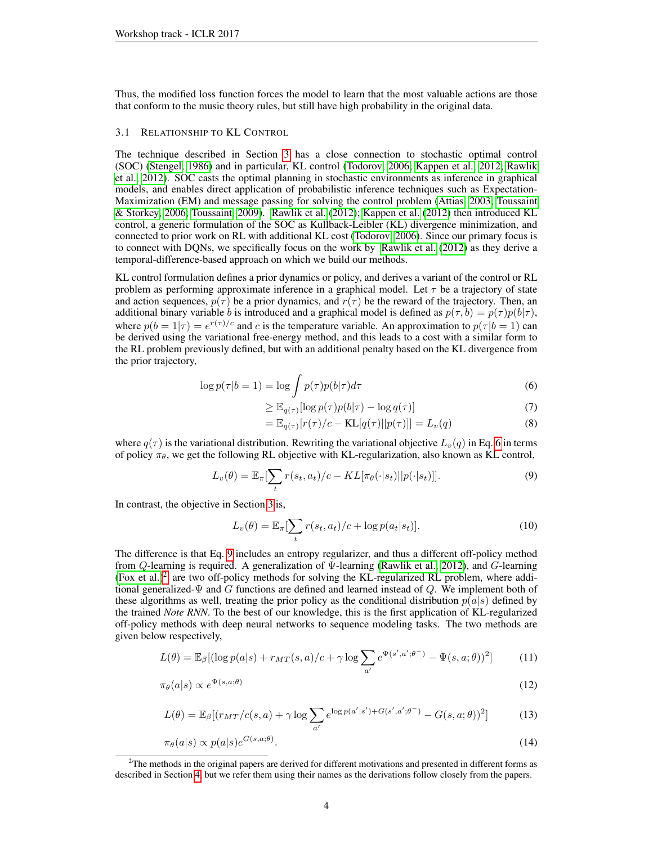Thus, the modified loss function forces the model to learn that the most valuable actions are those that conform to the music theory rules, but still have high probability in the original data.

### <span id="page-3-3"></span>3.1 RELATIONSHIP TO KL CONTROL

The technique described in Section [3](#page-2-2) has a close connection to stochastic optimal control (SOC) [\(Stengel, 1986\)](#page-10-6) and in particular, KL control [\(Todorov, 2006;](#page-10-7) [Kappen et al., 2012;](#page-9-11) [Rawlik](#page-10-2) [et al., 2012\)](#page-10-2). SOC casts the optimal planning in stochastic environments as inference in graphical models, and enables direct application of probabilistic inference techniques such as Expectation-Maximization (EM) and message passing for solving the control problem [\(Attias, 2003;](#page-9-12) [Toussaint](#page-10-8) [& Storkey, 2006;](#page-10-8) [Toussaint, 2009\)](#page-10-9). [Rawlik et al.](#page-10-2) [\(2012\)](#page-10-2); [Kappen et al.](#page-9-11) [\(2012\)](#page-9-11) then introduced KL control, a generic formulation of the SOC as Kullback-Leibler (KL) divergence minimization, and connected to prior work on RL with additional KL cost [\(Todorov, 2006\)](#page-10-7). Since our primary focus is to connect with DQNs, we specifically focus on the work by [Rawlik et al.](#page-10-2) [\(2012\)](#page-10-2) as they derive a temporal-difference-based approach on which we build our methods.

KL control formulation defines a prior dynamics or policy, and derives a variant of the control or RL problem as performing approximate inference in a graphical model. Let  $\tau$  be a trajectory of state and action sequences,  $p(\tau)$  be a prior dynamics, and  $r(\tau)$  be the reward of the trajectory. Then, an additional binary variable b is introduced and a graphical model is defined as  $p(\tau, b) = p(\tau) p(b|\tau)$ , where  $p(b=1|\tau) = e^{r(\tau)/c}$  and c is the temperature variable. An approximation to  $p(\tau|b=1)$  can be derived using the variational free-energy method, and this leads to a cost with a similar form to the RL problem previously defined, but with an additional penalty based on the KL divergence from the prior trajectory,

$$
\log p(\tau | b = 1) = \log \int p(\tau) p(b | \tau) d\tau \tag{6}
$$

<span id="page-3-0"></span>
$$
\geq \mathbb{E}_{q(\tau)}[\log p(\tau)p(b|\tau) - \log q(\tau)] \tag{7}
$$

<span id="page-3-1"></span>
$$
= \mathbb{E}_{q(\tau)}[r(\tau)/c - \text{KL}[q(\tau)||p(\tau)]] = L_v(q)
$$
\n(8)

where  $q(\tau)$  is the variational distribution. Rewriting the variational objective  $L_v(q)$  in Eq. [6](#page-3-0) in terms of policy  $\pi_{\theta}$ , we get the following RL objective with KL-regularization, also known as KL control,

$$
L_v(\theta) = \mathbb{E}_{\pi} \left[ \sum_t r(s_t, a_t) / c - KL[\pi_{\theta}(\cdot | s_t) || p(\cdot | s_t)] \right].
$$
\n(9)

In contrast, the objective in Section [3](#page-2-2) is,

<span id="page-3-5"></span>
$$
L_v(\theta) = \mathbb{E}_{\pi} \left[ \sum_t r(s_t, a_t) / c + \log p(a_t | s_t) \right].
$$
 (10)

The difference is that Eq. [9](#page-3-1) includes an entropy regularizer, and thus a different off-policy method from Q-learning is required. A generalization of Ψ-learning [\(Rawlik et al., 2012\)](#page-10-2), and G-learning [\(Fox et al.\)](#page-9-5)<sup>[2](#page-3-2)</sup> are two off-policy methods for solving the KL-regularized RL problem, where additional generalized- $\Psi$  and G functions are defined and learned instead of  $Q$ . We implement both of these algorithms as well, treating the prior policy as the conditional distribution  $p(a|s)$  defined by the trained *Note RNN*. To the best of our knowledge, this is the first application of KL-regularized off-policy methods with deep neural networks to sequence modeling tasks. The two methods are given below respectively,

$$
L(\theta) = \mathbb{E}_{\beta}[(\log p(a|s) + r_{MT}(s, a)/c + \gamma \log \sum_{a'} e^{\Psi(s', a'; \theta^{-})} - \Psi(s, a; \theta))^2]
$$
(11)

$$
\pi_{\theta}(a|s) \propto e^{\Psi(s,a;\theta)} \tag{12}
$$

<span id="page-3-4"></span>
$$
L(\theta) = \mathbb{E}_{\beta} \left[ \left( r_{MT}/c(s, a) + \gamma \log \sum_{a'} e^{\log p(a'|s') + G(s', a'; \theta^{-})} - G(s, a; \theta) \right)^2 \right] \tag{13}
$$

$$
\pi_{\theta}(a|s) \propto p(a|s)e^{G(s,a;\theta)}.\tag{14}
$$

<span id="page-3-2"></span><sup>&</sup>lt;sup>2</sup>The methods in the original papers are derived for different motivations and presented in different forms as described in Section [4,](#page-4-1) but we refer them using their names as the derivations follow closely from the papers.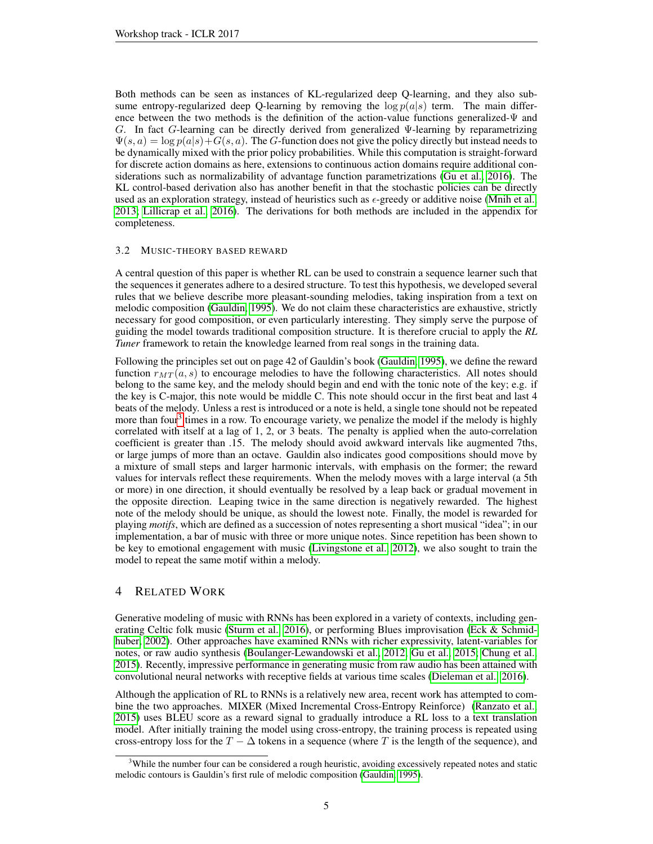Both methods can be seen as instances of KL-regularized deep Q-learning, and they also subsume entropy-regularized deep Q-learning by removing the  $\log p(a|s)$  term. The main difference between the two methods is the definition of the action-value functions generalized-Ψ and G. In fact G-learning can be directly derived from generalized Ψ-learning by reparametrizing  $\Psi(s, a) = \log p(a|s) + G(s, a)$ . The G-function does not give the policy directly but instead needs to be dynamically mixed with the prior policy probabilities. While this computation is straight-forward for discrete action domains as here, extensions to continuous action domains require additional considerations such as normalizability of advantage function parametrizations [\(Gu et al., 2016\)](#page-9-13). The KL control-based derivation also has another benefit in that the stochastic policies can be directly used as an exploration strategy, instead of heuristics such as  $\epsilon$ -greedy or additive noise [\(Mnih et al.,](#page-9-6) [2013;](#page-9-6) [Lillicrap et al., 2016\)](#page-9-7). The derivations for both methods are included in the appendix for completeness.

## <span id="page-4-0"></span>3.2 MUSIC-THEORY BASED REWARD

A central question of this paper is whether RL can be used to constrain a sequence learner such that the sequences it generates adhere to a desired structure. To test this hypothesis, we developed several rules that we believe describe more pleasant-sounding melodies, taking inspiration from a text on melodic composition [\(Gauldin, 1995\)](#page-9-14). We do not claim these characteristics are exhaustive, strictly necessary for good composition, or even particularly interesting. They simply serve the purpose of guiding the model towards traditional composition structure. It is therefore crucial to apply the *RL Tuner* framework to retain the knowledge learned from real songs in the training data.

Following the principles set out on page 42 of Gauldin's book [\(Gauldin, 1995\)](#page-9-14), we define the reward function  $r_{MT}(a, s)$  to encourage melodies to have the following characteristics. All notes should belong to the same key, and the melody should begin and end with the tonic note of the key; e.g. if the key is C-major, this note would be middle C. This note should occur in the first beat and last 4 beats of the melody. Unless a rest is introduced or a note is held, a single tone should not be repeated more than four<sup>[3](#page-4-2)</sup> times in a row. To encourage variety, we penalize the model if the melody is highly correlated with itself at a lag of 1, 2, or 3 beats. The penalty is applied when the auto-correlation coefficient is greater than .15. The melody should avoid awkward intervals like augmented 7ths, or large jumps of more than an octave. Gauldin also indicates good compositions should move by a mixture of small steps and larger harmonic intervals, with emphasis on the former; the reward values for intervals reflect these requirements. When the melody moves with a large interval (a 5th or more) in one direction, it should eventually be resolved by a leap back or gradual movement in the opposite direction. Leaping twice in the same direction is negatively rewarded. The highest note of the melody should be unique, as should the lowest note. Finally, the model is rewarded for playing *motifs*, which are defined as a succession of notes representing a short musical "idea"; in our implementation, a bar of music with three or more unique notes. Since repetition has been shown to be key to emotional engagement with music [\(Livingstone et al., 2012\)](#page-9-15), we also sought to train the model to repeat the same motif within a melody.

## <span id="page-4-1"></span>4 RELATED WORK

Generative modeling of music with RNNs has been explored in a variety of contexts, including generating Celtic folk music [\(Sturm et al., 2016\)](#page-10-5), or performing Blues improvisation [\(Eck & Schmid](#page-9-0)[huber, 2002\)](#page-9-0). Other approaches have examined RNNs with richer expressivity, latent-variables for notes, or raw audio synthesis [\(Boulanger-Lewandowski et al., 2012;](#page-9-16) [Gu et al., 2015;](#page-9-17) [Chung et al.,](#page-9-18) [2015\)](#page-9-18). Recently, impressive performance in generating music from raw audio has been attained with convolutional neural networks with receptive fields at various time scales [\(Dieleman et al., 2016\)](#page-9-19).

Although the application of RL to RNNs is a relatively new area, recent work has attempted to combine the two approaches. MIXER (Mixed Incremental Cross-Entropy Reinforce) [\(Ranzato et al.,](#page-10-0) [2015\)](#page-10-0) uses BLEU score as a reward signal to gradually introduce a RL loss to a text translation model. After initially training the model using cross-entropy, the training process is repeated using cross-entropy loss for the  $T - \Delta$  tokens in a sequence (where T is the length of the sequence), and

<span id="page-4-2"></span><sup>&</sup>lt;sup>3</sup>While the number four can be considered a rough heuristic, avoiding excessively repeated notes and static melodic contours is Gauldin's first rule of melodic composition [\(Gauldin, 1995\)](#page-9-14).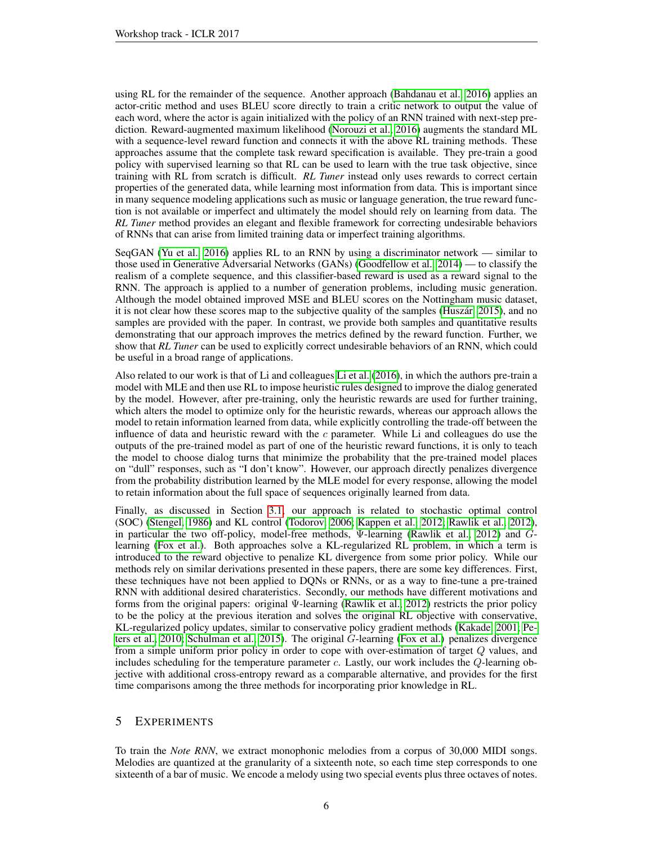using RL for the remainder of the sequence. Another approach [\(Bahdanau et al., 2016\)](#page-9-3) applies an actor-critic method and uses BLEU score directly to train a critic network to output the value of each word, where the actor is again initialized with the policy of an RNN trained with next-step prediction. Reward-augmented maximum likelihood [\(Norouzi et al., 2016\)](#page-10-1) augments the standard ML with a sequence-level reward function and connects it with the above RL training methods. These approaches assume that the complete task reward specification is available. They pre-train a good policy with supervised learning so that RL can be used to learn with the true task objective, since training with RL from scratch is difficult. *RL Tuner* instead only uses rewards to correct certain properties of the generated data, while learning most information from data. This is important since in many sequence modeling applications such as music or language generation, the true reward function is not available or imperfect and ultimately the model should rely on learning from data. The *RL Tuner* method provides an elegant and flexible framework for correcting undesirable behaviors of RNNs that can arise from limited training data or imperfect training algorithms.

SeqGAN [\(Yu et al., 2016\)](#page-10-10) applies RL to an RNN by using a discriminator network — similar to those used in Generative Adversarial Networks (GANs) [\(Goodfellow et al., 2014\)](#page-9-20) — to classify the realism of a complete sequence, and this classifier-based reward is used as a reward signal to the RNN. The approach is applied to a number of generation problems, including music generation. Although the model obtained improved MSE and BLEU scores on the Nottingham music dataset, it is not clear how these scores map to the subjective quality of the samples (Huszár, 2015), and no samples are provided with the paper. In contrast, we provide both samples and quantitative results demonstrating that our approach improves the metrics defined by the reward function. Further, we show that *RL Tuner* can be used to explicitly correct undesirable behaviors of an RNN, which could be useful in a broad range of applications.

Also related to our work is that of Li and colleagues [Li et al.](#page-9-4) [\(2016\)](#page-9-4), in which the authors pre-train a model with MLE and then use RL to impose heuristic rules designed to improve the dialog generated by the model. However, after pre-training, only the heuristic rewards are used for further training, which alters the model to optimize only for the heuristic rewards, whereas our approach allows the model to retain information learned from data, while explicitly controlling the trade-off between the influence of data and heuristic reward with the  $c$  parameter. While Li and colleagues do use the outputs of the pre-trained model as part of one of the heuristic reward functions, it is only to teach the model to choose dialog turns that minimize the probability that the pre-trained model places on "dull" responses, such as "I don't know". However, our approach directly penalizes divergence from the probability distribution learned by the MLE model for every response, allowing the model to retain information about the full space of sequences originally learned from data.

Finally, as discussed in Section [3.1,](#page-3-3) our approach is related to stochastic optimal control (SOC) [\(Stengel, 1986\)](#page-10-6) and KL control [\(Todorov, 2006;](#page-10-7) [Kappen et al., 2012;](#page-9-11) [Rawlik et al., 2012\)](#page-10-2), in particular the two off-policy, model-free methods,  $\Psi$ -learning [\(Rawlik et al., 2012\)](#page-10-2) and  $G$ learning [\(Fox et al.\)](#page-9-5). Both approaches solve a KL-regularized RL problem, in which a term is introduced to the reward objective to penalize KL divergence from some prior policy. While our methods rely on similar derivations presented in these papers, there are some key differences. First, these techniques have not been applied to DQNs or RNNs, or as a way to fine-tune a pre-trained RNN with additional desired charateristics. Secondly, our methods have different motivations and forms from the original papers: original Ψ-learning [\(Rawlik et al., 2012\)](#page-10-2) restricts the prior policy to be the policy at the previous iteration and solves the original RL objective with conservative, KL-regularized policy updates, similar to conservative policy gradient methods [\(Kakade, 2001;](#page-9-22) [Pe](#page-10-11)[ters et al., 2010;](#page-10-11) [Schulman et al., 2015\)](#page-10-12). The original G-learning [\(Fox et al.\)](#page-9-5) penalizes divergence from a simple uniform prior policy in order to cope with over-estimation of target Q values, and includes scheduling for the temperature parameter  $c$ . Lastly, our work includes the  $Q$ -learning objective with additional cross-entropy reward as a comparable alternative, and provides for the first time comparisons among the three methods for incorporating prior knowledge in RL.

## 5 EXPERIMENTS

To train the *Note RNN*, we extract monophonic melodies from a corpus of 30,000 MIDI songs. Melodies are quantized at the granularity of a sixteenth note, so each time step corresponds to one sixteenth of a bar of music. We encode a melody using two special events plus three octaves of notes.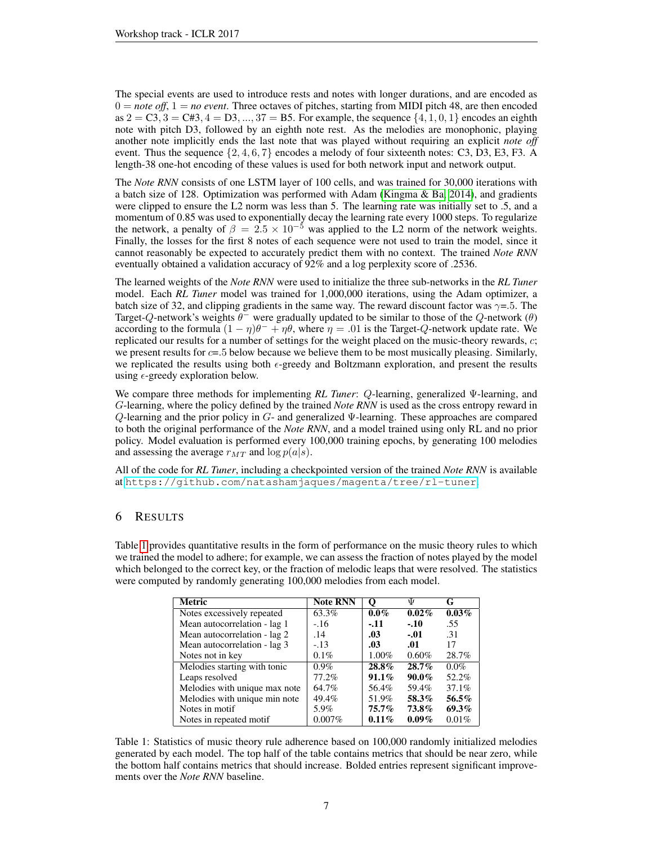The special events are used to introduce rests and notes with longer durations, and are encoded as  $0 = note$  *off*,  $1 = no$  *event*. Three octaves of pitches, starting from MIDI pitch 48, are then encoded as  $2 = C3$ ,  $3 = C#3$ ,  $4 = D3$ , ...,  $37 = B5$ . For example, the sequence  $\{4, 1, 0, 1\}$  encodes an eighth note with pitch D3, followed by an eighth note rest. As the melodies are monophonic, playing another note implicitly ends the last note that was played without requiring an explicit *note off* event. Thus the sequence  $\{2, 4, 6, 7\}$  encodes a melody of four sixteenth notes: C3, D3, E3, F3. A length-38 one-hot encoding of these values is used for both network input and network output.

The *Note RNN* consists of one LSTM layer of 100 cells, and was trained for 30,000 iterations with a batch size of 128. Optimization was performed with Adam [\(Kingma & Ba, 2014\)](#page-9-23), and gradients were clipped to ensure the L2 norm was less than 5. The learning rate was initially set to .5, and a momentum of 0.85 was used to exponentially decay the learning rate every 1000 steps. To regularize the network, a penalty of  $\beta = 2.5 \times 10^{-5}$  was applied to the L2 norm of the network weights. Finally, the losses for the first 8 notes of each sequence were not used to train the model, since it cannot reasonably be expected to accurately predict them with no context. The trained *Note RNN* eventually obtained a validation accuracy of 92% and a log perplexity score of .2536.

The learned weights of the *Note RNN* were used to initialize the three sub-networks in the *RL Tuner* model. Each *RL Tuner* model was trained for 1,000,000 iterations, using the Adam optimizer, a batch size of 32, and clipping gradients in the same way. The reward discount factor was  $\gamma = 5$ . The Target-Q-network's weights  $\theta^-$  were gradually updated to be similar to those of the Q-network  $(\theta)$ according to the formula  $(1 - \eta)\theta^- + \eta\theta$ , where  $\eta = .01$  is the Target-Q-network update rate. We replicated our results for a number of settings for the weight placed on the music-theory rewards, c; we present results for  $c=5$  below because we believe them to be most musically pleasing. Similarly, we replicated the results using both  $\epsilon$ -greedy and Boltzmann exploration, and present the results using  $\epsilon$ -greedy exploration below.

We compare three methods for implementing *RL Tuner*: Q-learning, generalized Ψ-learning, and G-learning, where the policy defined by the trained *Note RNN* is used as the cross entropy reward in  $Q$ -learning and the prior policy in  $G$ - and generalized  $\Psi$ -learning. These approaches are compared to both the original performance of the *Note RNN*, and a model trained using only RL and no prior policy. Model evaluation is performed every 100,000 training epochs, by generating 100 melodies and assessing the average  $r_{MT}$  and  $\log p(a|s)$ .

All of the code for *RL Tuner*, including a checkpointed version of the trained *Note RNN* is available at <https://github.com/natashamjaques/magenta/tree/rl-tuner>.

# 6 RESULTS

<span id="page-6-0"></span>Table [1](#page-6-0) provides quantitative results in the form of performance on the music theory rules to which we trained the model to adhere; for example, we can assess the fraction of notes played by the model which belonged to the correct key, or the fraction of melodic leaps that were resolved. The statistics were computed by randomly generating 100,000 melodies from each model.

| <b>Metric</b>                 | <b>Note RNN</b> | O        | Ψ        | G        |
|-------------------------------|-----------------|----------|----------|----------|
| Notes excessively repeated    | 63.3%           | $0.0\%$  | $0.02\%$ | $0.03\%$ |
| Mean autocorrelation - lag 1  | $-16$           | $-11$    | $-.10$   | .55      |
| Mean autocorrelation - lag 2  | .14             | .03      | $-.01$   | .31      |
| Mean autocorrelation - lag 3  | $-.13$          | .03      | .01      | 17       |
| Notes not in key              | 0.1%            | 1.00%    | 0.60%    | 28.7%    |
| Melodies starting with tonic  | $0.9\%$         | $28.8\%$ | 28.7%    | $0.0\%$  |
| Leaps resolved                | 77.2%           | $91.1\%$ | $90.0\%$ | 52.2%    |
| Melodies with unique max note | 64.7%           | 56.4%    | 59.4%    | 37.1%    |
| Melodies with unique min note | 49.4%           | 51.9%    | 58.3%    | 56.5%    |
| Notes in motif                | 5.9%            | $75.7\%$ | 73.8%    | 69.3%    |
| Notes in repeated motif       | $0.007\%$       | 0.11%    | $0.09\%$ | 0.01%    |

Table 1: Statistics of music theory rule adherence based on 100,000 randomly initialized melodies generated by each model. The top half of the table contains metrics that should be near zero, while the bottom half contains metrics that should increase. Bolded entries represent significant improvements over the *Note RNN* baseline.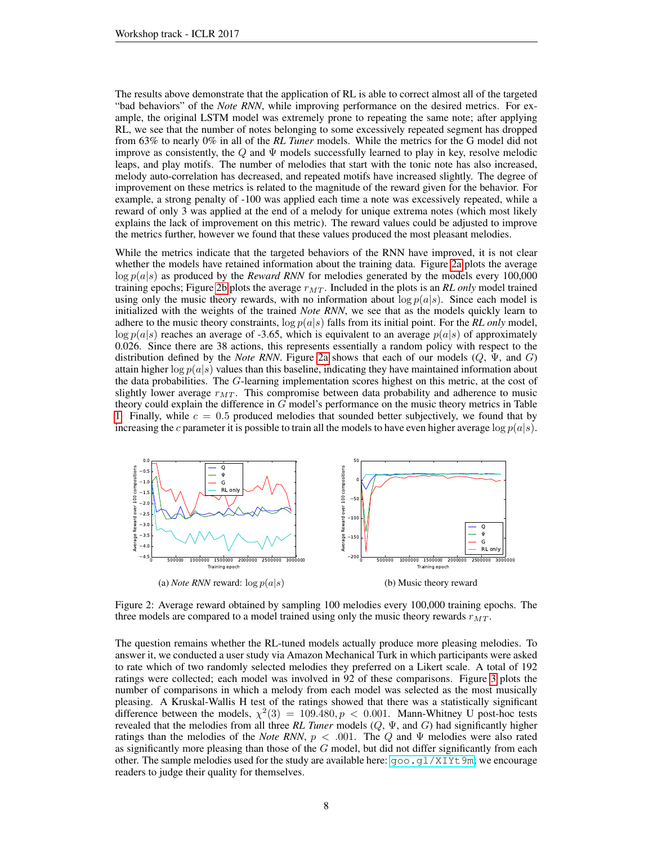The results above demonstrate that the application of RL is able to correct almost all of the targeted "bad behaviors" of the *Note RNN*, while improving performance on the desired metrics. For example, the original LSTM model was extremely prone to repeating the same note; after applying RL, we see that the number of notes belonging to some excessively repeated segment has dropped from 63% to nearly 0% in all of the *RL Tuner* models. While the metrics for the G model did not improve as consistently, the  $Q$  and  $\Psi$  models successfully learned to play in key, resolve melodic leaps, and play motifs. The number of melodies that start with the tonic note has also increased, melody auto-correlation has decreased, and repeated motifs have increased slightly. The degree of improvement on these metrics is related to the magnitude of the reward given for the behavior. For example, a strong penalty of -100 was applied each time a note was excessively repeated, while a reward of only 3 was applied at the end of a melody for unique extrema notes (which most likely explains the lack of improvement on this metric). The reward values could be adjusted to improve the metrics further, however we found that these values produced the most pleasant melodies.

While the metrics indicate that the targeted behaviors of the RNN have improved, it is not clear whether the models have retained information about the training data. Figure [2a](#page-7-0) plots the average  $\log p(a|s)$  as produced by the *Reward RNN* for melodies generated by the models every 100,000 training epochs; Figure [2b](#page-7-0) plots the average  $r_{MT}$ . Included in the plots is an *RL only* model trained using only the music theory rewards, with no information about  $\log p(a|s)$ . Since each model is initialized with the weights of the trained *Note RNN*, we see that as the models quickly learn to adhere to the music theory constraints,  $\log p(a|s)$  falls from its initial point. For the *RL only* model,  $\log p(a|s)$  reaches an average of -3.65, which is equivalent to an average  $p(a|s)$  of approximately 0.026. Since there are 38 actions, this represents essentially a random policy with respect to the distribution defined by the *Note RNN*. Figure [2a](#page-7-0) shows that each of our models  $(Q, \Psi, \text{ and } G)$ attain higher  $\log p(a|s)$  values than this baseline, indicating they have maintained information about the data probabilities. The G-learning implementation scores highest on this metric, at the cost of slightly lower average  $r_{MT}$ . This compromise between data probability and adherence to music theory could explain the difference in G model's performance on the music theory metrics in Table [1.](#page-6-0) Finally, while  $c = 0.5$  produced melodies that sounded better subjectively, we found that by increasing the c parameter it is possible to train all the models to have even higher average  $log p(a|s)$ .

<span id="page-7-0"></span>

Figure 2: Average reward obtained by sampling 100 melodies every 100,000 training epochs. The three models are compared to a model trained using only the music theory rewards  $r_{MT}$ .

The question remains whether the RL-tuned models actually produce more pleasing melodies. To answer it, we conducted a user study via Amazon Mechanical Turk in which participants were asked to rate which of two randomly selected melodies they preferred on a Likert scale. A total of 192 ratings were collected; each model was involved in 92 of these comparisons. Figure [3](#page-8-0) plots the number of comparisons in which a melody from each model was selected as the most musically pleasing. A Kruskal-Wallis H test of the ratings showed that there was a statistically significant difference between the models,  $\chi^2(3) = 109.480, p < 0.001$ . Mann-Whitney U post-hoc tests revealed that the melodies from all three *RL Tuner* models (Q, Ψ, and G) had significantly higher ratings than the melodies of the *Note RNN*,  $p < .001$ . The Q and  $\Psi$  melodies were also rated as significantly more pleasing than those of the  $G$  model, but did not differ significantly from each other. The sample melodies used for the study are available here:  $\text{good.gl}/\text{XIVt9m}$ ; we encourage readers to judge their quality for themselves.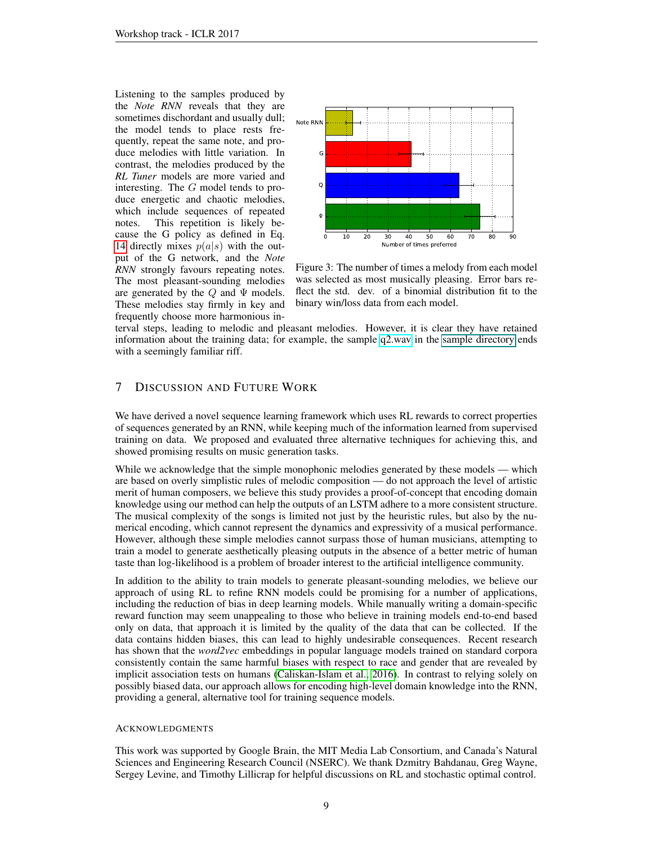Listening to the samples produced by the *Note RNN* reveals that they are sometimes dischordant and usually dull; the model tends to place rests frequently, repeat the same note, and produce melodies with little variation. In contrast, the melodies produced by the *RL Tuner* models are more varied and interesting. The G model tends to produce energetic and chaotic melodies, which include sequences of repeated notes. This repetition is likely because the G policy as defined in Eq. [14](#page-3-4) directly mixes  $p(a|s)$  with the output of the G network, and the *Note RNN* strongly favours repeating notes. The most pleasant-sounding melodies are generated by the  $Q$  and  $\Psi$  models. These melodies stay firmly in key and frequently choose more harmonious in-

<span id="page-8-0"></span>

Figure 3: The number of times a melody from each model was selected as most musically pleasing. Error bars reflect the std. dev. of a binomial distribution fit to the binary win/loss data from each model.

terval steps, leading to melodic and pleasant melodies. However, it is clear they have retained information about the training data; for example, the sample [q2.wav](https://www.youtube.com/watch?v=rJ0KQjku7T4&feature=youtu.be) in the [sample directory](#page-0-1) ends with a seemingly familiar riff.

# 7 DISCUSSION AND FUTURE WORK

We have derived a novel sequence learning framework which uses RL rewards to correct properties of sequences generated by an RNN, while keeping much of the information learned from supervised training on data. We proposed and evaluated three alternative techniques for achieving this, and showed promising results on music generation tasks.

While we acknowledge that the simple monophonic melodies generated by these models — which are based on overly simplistic rules of melodic composition — do not approach the level of artistic merit of human composers, we believe this study provides a proof-of-concept that encoding domain knowledge using our method can help the outputs of an LSTM adhere to a more consistent structure. The musical complexity of the songs is limited not just by the heuristic rules, but also by the numerical encoding, which cannot represent the dynamics and expressivity of a musical performance. However, although these simple melodies cannot surpass those of human musicians, attempting to train a model to generate aesthetically pleasing outputs in the absence of a better metric of human taste than log-likelihood is a problem of broader interest to the artificial intelligence community.

In addition to the ability to train models to generate pleasant-sounding melodies, we believe our approach of using RL to refine RNN models could be promising for a number of applications, including the reduction of bias in deep learning models. While manually writing a domain-specific reward function may seem unappealing to those who believe in training models end-to-end based only on data, that approach it is limited by the quality of the data that can be collected. If the data contains hidden biases, this can lead to highly undesirable consequences. Recent research has shown that the *word2vec* embeddings in popular language models trained on standard corpora consistently contain the same harmful biases with respect to race and gender that are revealed by implicit association tests on humans [\(Caliskan-Islam et al., 2016\)](#page-9-24). In contrast to relying solely on possibly biased data, our approach allows for encoding high-level domain knowledge into the RNN, providing a general, alternative tool for training sequence models.

#### ACKNOWLEDGMENTS

This work was supported by Google Brain, the MIT Media Lab Consortium, and Canada's Natural Sciences and Engineering Research Council (NSERC). We thank Dzmitry Bahdanau, Greg Wayne, Sergey Levine, and Timothy Lillicrap for helpful discussions on RL and stochastic optimal control.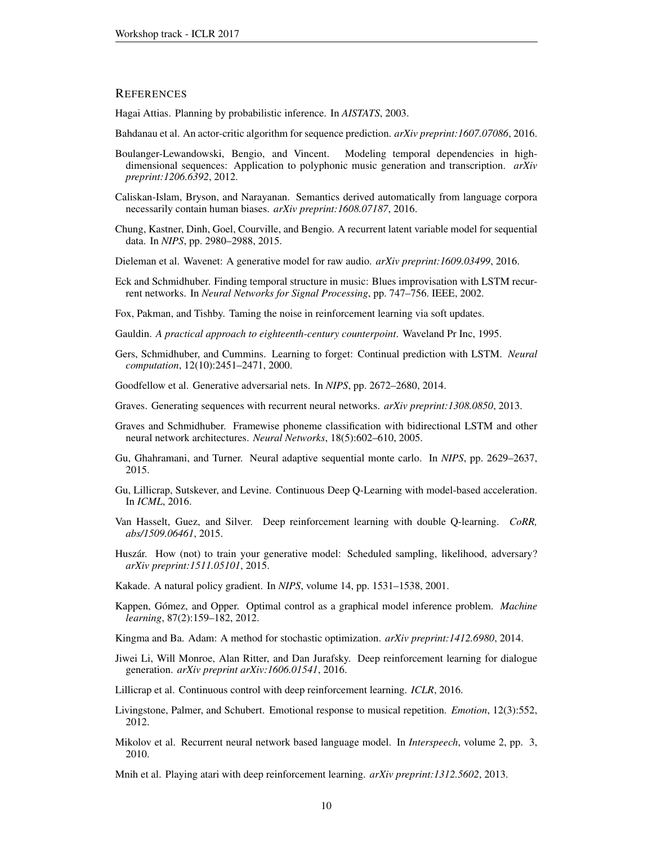## **REFERENCES**

<span id="page-9-12"></span>Hagai Attias. Planning by probabilistic inference. In *AISTATS*, 2003.

- <span id="page-9-3"></span>Bahdanau et al. An actor-critic algorithm for sequence prediction. *arXiv preprint:1607.07086*, 2016.
- <span id="page-9-16"></span>Boulanger-Lewandowski, Bengio, and Vincent. Modeling temporal dependencies in highdimensional sequences: Application to polyphonic music generation and transcription. *arXiv preprint:1206.6392*, 2012.
- <span id="page-9-24"></span>Caliskan-Islam, Bryson, and Narayanan. Semantics derived automatically from language corpora necessarily contain human biases. *arXiv preprint:1608.07187*, 2016.
- <span id="page-9-18"></span>Chung, Kastner, Dinh, Goel, Courville, and Bengio. A recurrent latent variable model for sequential data. In *NIPS*, pp. 2980–2988, 2015.
- <span id="page-9-19"></span>Dieleman et al. Wavenet: A generative model for raw audio. *arXiv preprint:1609.03499*, 2016.
- <span id="page-9-0"></span>Eck and Schmidhuber. Finding temporal structure in music: Blues improvisation with LSTM recurrent networks. In *Neural Networks for Signal Processing*, pp. 747–756. IEEE, 2002.

<span id="page-9-5"></span>Fox, Pakman, and Tishby. Taming the noise in reinforcement learning via soft updates.

- <span id="page-9-14"></span>Gauldin. *A practical approach to eighteenth-century counterpoint*. Waveland Pr Inc, 1995.
- <span id="page-9-9"></span>Gers, Schmidhuber, and Cummins. Learning to forget: Continual prediction with LSTM. *Neural computation*, 12(10):2451–2471, 2000.
- <span id="page-9-20"></span>Goodfellow et al. Generative adversarial nets. In *NIPS*, pp. 2672–2680, 2014.
- <span id="page-9-2"></span>Graves. Generating sequences with recurrent neural networks. *arXiv preprint:1308.0850*, 2013.
- <span id="page-9-10"></span>Graves and Schmidhuber. Framewise phoneme classification with bidirectional LSTM and other neural network architectures. *Neural Networks*, 18(5):602–610, 2005.
- <span id="page-9-17"></span>Gu, Ghahramani, and Turner. Neural adaptive sequential monte carlo. In *NIPS*, pp. 2629–2637, 2015.
- <span id="page-9-13"></span>Gu, Lillicrap, Sutskever, and Levine. Continuous Deep Q-Learning with model-based acceleration. In *ICML*, 2016.
- <span id="page-9-8"></span>Van Hasselt, Guez, and Silver. Deep reinforcement learning with double Q-learning. *CoRR, abs/1509.06461*, 2015.
- <span id="page-9-21"></span>Huszár. How (not) to train your generative model: Scheduled sampling, likelihood, adversary? *arXiv preprint:1511.05101*, 2015.
- <span id="page-9-22"></span>Kakade. A natural policy gradient. In *NIPS*, volume 14, pp. 1531–1538, 2001.
- <span id="page-9-11"></span>Kappen, Gómez, and Opper. Optimal control as a graphical model inference problem. *Machine learning*, 87(2):159–182, 2012.
- <span id="page-9-23"></span>Kingma and Ba. Adam: A method for stochastic optimization. *arXiv preprint:1412.6980*, 2014.
- <span id="page-9-4"></span>Jiwei Li, Will Monroe, Alan Ritter, and Dan Jurafsky. Deep reinforcement learning for dialogue generation. *arXiv preprint arXiv:1606.01541*, 2016.
- <span id="page-9-7"></span>Lillicrap et al. Continuous control with deep reinforcement learning. *ICLR*, 2016.
- <span id="page-9-15"></span>Livingstone, Palmer, and Schubert. Emotional response to musical repetition. *Emotion*, 12(3):552, 2012.
- <span id="page-9-1"></span>Mikolov et al. Recurrent neural network based language model. In *Interspeech*, volume 2, pp. 3, 2010.

<span id="page-9-6"></span>Mnih et al. Playing atari with deep reinforcement learning. *arXiv preprint:1312.5602*, 2013.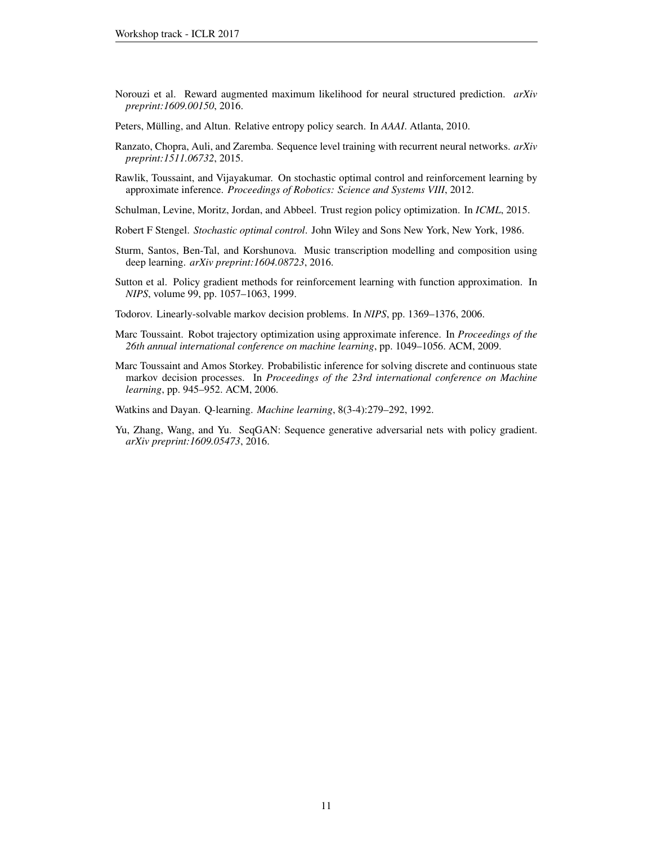- <span id="page-10-1"></span>Norouzi et al. Reward augmented maximum likelihood for neural structured prediction. *arXiv preprint:1609.00150*, 2016.
- <span id="page-10-11"></span>Peters, Mülling, and Altun. Relative entropy policy search. In *AAAI*. Atlanta, 2010.
- <span id="page-10-0"></span>Ranzato, Chopra, Auli, and Zaremba. Sequence level training with recurrent neural networks. *arXiv preprint:1511.06732*, 2015.
- <span id="page-10-2"></span>Rawlik, Toussaint, and Vijayakumar. On stochastic optimal control and reinforcement learning by approximate inference. *Proceedings of Robotics: Science and Systems VIII*, 2012.
- <span id="page-10-12"></span>Schulman, Levine, Moritz, Jordan, and Abbeel. Trust region policy optimization. In *ICML*, 2015.
- <span id="page-10-6"></span>Robert F Stengel. *Stochastic optimal control*. John Wiley and Sons New York, New York, 1986.
- <span id="page-10-5"></span>Sturm, Santos, Ben-Tal, and Korshunova. Music transcription modelling and composition using deep learning. *arXiv preprint:1604.08723*, 2016.
- <span id="page-10-4"></span>Sutton et al. Policy gradient methods for reinforcement learning with function approximation. In *NIPS*, volume 99, pp. 1057–1063, 1999.
- <span id="page-10-7"></span>Todorov. Linearly-solvable markov decision problems. In *NIPS*, pp. 1369–1376, 2006.
- <span id="page-10-9"></span>Marc Toussaint. Robot trajectory optimization using approximate inference. In *Proceedings of the 26th annual international conference on machine learning*, pp. 1049–1056. ACM, 2009.
- <span id="page-10-8"></span>Marc Toussaint and Amos Storkey. Probabilistic inference for solving discrete and continuous state markov decision processes. In *Proceedings of the 23rd international conference on Machine learning*, pp. 945–952. ACM, 2006.

<span id="page-10-3"></span>Watkins and Dayan. Q-learning. *Machine learning*, 8(3-4):279–292, 1992.

<span id="page-10-10"></span>Yu, Zhang, Wang, and Yu. SeqGAN: Sequence generative adversarial nets with policy gradient. *arXiv preprint:1609.05473*, 2016.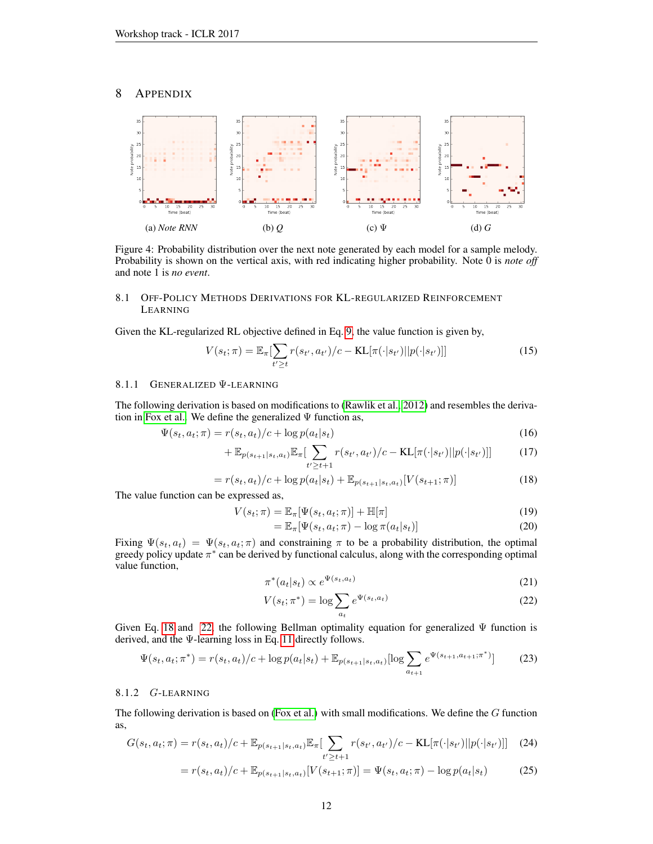## 8 APPENDIX



Figure 4: Probability distribution over the next note generated by each model for a sample melody. Probability is shown on the vertical axis, with red indicating higher probability. Note 0 is *note off* and note 1 is *no event*.

## 8.1 OFF-POLICY METHODS DERIVATIONS FOR KL-REGULARIZED REINFORCEMENT LEARNING

Given the KL-regularized RL objective defined in Eq. [9,](#page-3-1) the value function is given by,

$$
V(s_t; \pi) = \mathbb{E}_{\pi}[\sum_{t' \ge t} r(s_{t'}, a_{t'})/c - \text{KL}[\pi(\cdot|s_{t'})||p(\cdot|s_{t'})]] \tag{15}
$$

### 8.1.1 GENERALIZED Ψ-LEARNING

The following derivation is based on modifications to [\(Rawlik et al., 2012\)](#page-10-2) and resembles the deriva-tion in [Fox et al..](#page-9-5) We define the generalized  $\Psi$  function as,

$$
\Psi(s_t, a_t; \pi) = r(s_t, a_t)/c + \log p(a_t|s_t)
$$
\n(16)

$$
+\mathbb{E}_{p(s_{t+1}|s_t,a_t)}\mathbb{E}_{\pi}[\sum_{t'\geq t+1}r(s_{t'},a_{t'})/c-\text{KL}[\pi(\cdot|s_{t'})||p(\cdot|s_{t'})]] \tag{17}
$$

$$
= r(s_t, a_t)/c + \log p(a_t|s_t) + \mathbb{E}_{p(s_{t+1}|s_t, a_t)}[V(s_{t+1}; \pi)] \tag{18}
$$

The value function can be expressed as,

$$
V(s_t; \pi) = \mathbb{E}_{\pi}[\Psi(s_t, a_t; \pi)] + \mathbb{H}[\pi]
$$
\n(19)

<span id="page-11-0"></span>
$$
= \mathbb{E}_{\pi}[\Psi(s_t, a_t; \pi) - \log \pi(a_t|s_t)] \tag{20}
$$

Fixing  $\Psi(s_t, a_t) = \Psi(s_t, a_t; \pi)$  and constraining  $\pi$  to be a probability distribution, the optimal greedy policy update  $\pi^*$  can be derived by functional calculus, along with the corresponding optimal value function,

$$
\pi^*(a_t|s_t) \propto e^{\Psi(s_t, a_t)} \tag{21}
$$

<span id="page-11-2"></span><span id="page-11-1"></span>
$$
V(s_t; \pi^*) = \log \sum_{a_t} e^{\Psi(s_t, a_t)}
$$
 (22)

Given Eq. [18](#page-11-0) and [22,](#page-11-1) the following Bellman optimality equation for generalized  $\Psi$  function is derived, and the Ψ-learning loss in Eq. [11](#page-3-5) directly follows.

$$
\Psi(s_t, a_t; \pi^*) = r(s_t, a_t)/c + \log p(a_t|s_t) + \mathbb{E}_{p(s_{t+1}|s_t, a_t)}[\log \sum_{a_{t+1}} e^{\Psi(s_{t+1}, a_{t+1}; \pi^*)}]
$$
(23)

#### 8.1.2 G-LEARNING

The following derivation is based on [\(Fox et al.\)](#page-9-5) with small modifications. We define the G function as,

$$
G(s_t, a_t; \pi) = r(s_t, a_t)/c + \mathbb{E}_{p(s_{t+1}|s_t, a_t)} \mathbb{E}_{\pi} \left[ \sum_{t' \ge t+1} r(s_{t'}, a_{t'})/c - \text{KL}[\pi(\cdot|s_{t'})||p(\cdot|s_{t'})]] \right]
$$
(24)

$$
= r(s_t, a_t)/c + \mathbb{E}_{p(s_{t+1}|s_t, a_t)}[V(s_{t+1}; \pi)] = \Psi(s_t, a_t; \pi) - \log p(a_t|s_t)
$$
(25)